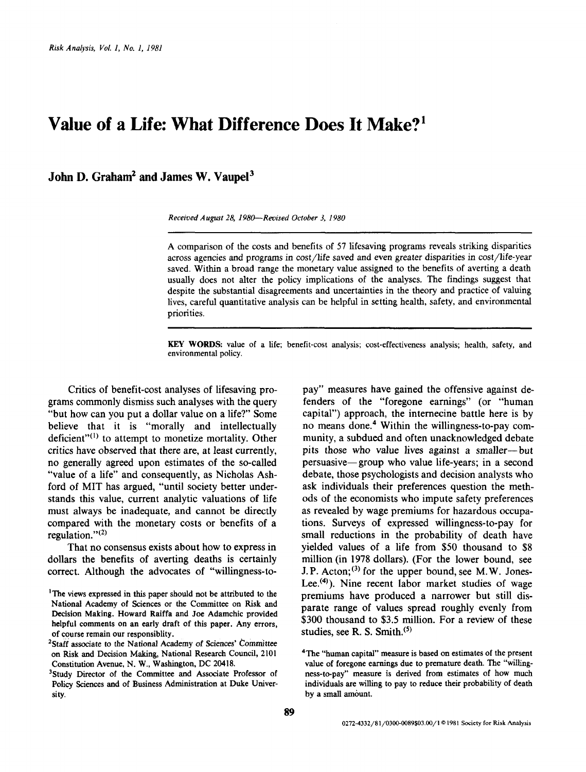# **Value of a Life: What Difference Does It Make?'**

**John D. Graham' and James W. Vaupe13** 

*Received August 28, 1980-Revised October* **3,** *1980* 

**A** comparison of the costs and benefits of **57** lifesaving programs reveals striking disparities across agencies and programs in cost/life saved and even greater disparities in cost/life-year saved. Within a broad range the monetary value assigned to the benefits of averting a death usually does not alter the policy implications of the analyses. The findings suggest that despite the substantial disagreements and uncertainties in the theory and practice of valuing lives, careful quantitative analysis can be helpful in setting health, safety, and environmental priorities.

KEY WORDS: value of a life; benefit-cost analysis; cost-effectiveness analysis; health, safety, and environmental policy.

Critics of benefit-cost analyses of lifesaving programs commonly dismiss such analyses with the query "but how can you put a dollar value on a life?" Some believe that it is "morally and intellectually deficient"<sup>(1)</sup> to attempt to monetize mortality. Other critics have observed that there are, at least currently, no generally agreed upon estimates of the so-called "value of a life" and consequently, as Nicholas Ashford of MIT has argued, "until society better understands this value, current analytic valuations of life must always be inadequate, and cannot be directly compared with the monetary costs or benefits of a regulation." $^{(2)}$ 

That no consensus exists about how to express in dollars the benefits of averting deaths is certainly correct. Although the advocates of "willingness-to-

pay" measures have gained the offensive against defenders of the "foregone earnings" (or "human capital") approach, the internecine battle here is by no means done.4 Within the willingness-to-pay community, a subdued and often unacknowledged debate pits those who value lives against a smaller-but persuasive- group who value life-years; in a second debate, those psychologists and decision analysts who ask individuals their preferences question the methods of the economists who impute safety preferences as revealed by wage premiums for hazardous occupations. Surveys of expressed willingness-to-pay for small reductions in the probability of death have yielded values of a life from \$50 thousand to \$8 million (in 1978 dollars). (For the lower bound, see J. P. Acton;<sup>(3)</sup> for the upper bound, see M.W. Jones-Lee.<sup>(4)</sup>). Nine recent labor market studies of wage premiums have produced a narrower but still disparate range of values spread roughly evenly from \$300 thousand to **\$3.5** million. For a review of these studies, see R. S. Smith.<sup>(5)</sup>

<sup>&#</sup>x27;The views expressed in this paper should not be attributed to the National Academy of Sciences or the Committee on Risk and Decision Making. Howard Raiffa and Joe Adamchic provided helpful comments on an early draft of this paper. Any errors, of course remain our responsiblity.

<sup>&</sup>lt;sup>2</sup>Staff associate to the National Academy of Sciences' Committee **on** Risk and Decision **Making,** National Research Council, 2101 Constitution Avenue, N. W., Washington, DC 20418.

<sup>&</sup>lt;sup>3</sup>Study Director of the Committee and Associate Professor of Policy Sciences and of Business Administration at Duke University.

<sup>4</sup>The "human capital" measure is based on estimates of the present value of foregone earnings due to premature death. The **"willing**ness-to-pay" measure is derived from estimates of how much individuals are willing to pay to reduce their probability of death by a small amount.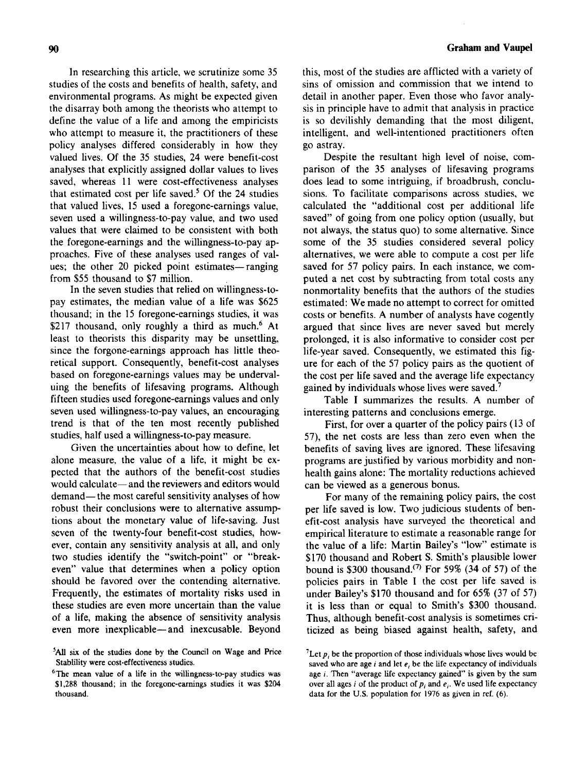In researching this article, we scrutinize some 35 studies of the costs and benefits of health, safety, and environmental programs. As might be expected given the disarray both among the theorists who attempt to define the value of a life and among the empiricists who attempt to measure it, the practitioners of these policy analyses differed considerably in how they valued lives. Of the 35 studies, **24** were benefit-cost analyses that explicitly assigned dollar values to lives saved, whereas 11 were cost-effectiveness analyses that estimated cost per life saved.5 Of the **24** studies that valued lives, 15 used a foregone-earnings value, seven used a willingness-to-pay value, and two used values that were claimed to be consistent with both the foregone-earnings and the willingness-to-pay approaches. Five of these analyses used ranges of values; the other  $20$  picked point estimates— ranging from \$55 thousand to \$7 million.

In the seven studies that relied on willingness-topay estimates, the median value of a life was **\$625**  thousand; in the 15 foregone-earnings studies, it was \$217 thousand, only roughly a third as much.<sup>6</sup> At least to theorists this disparity may be unsettling, since the forgone-earnings approach has little theoretical support. Consequently, benefit-cost analyses based on foregone-earnings values may be undervaluing the benefits of lifesaving programs. Although fifteen studies used foregone-earnings values and only seven used willingness-to-pay values, an encouraging trend is that of the ten most recently published studies, half used a willingness-to-pay measure.

Given the uncertainties about how to define, let alone measure, the value of a life, it might be expected that the authors of the benefit-cost studies would calculate— and the reviewers and editors would demand— the most careful sensitivity analyses of how robust their conclusions were to alternative assumptions about the monetary value of life-saving. Just seven of the twenty-four benefit-cost studies, however, contain any sensitivity analysis at all, and only two studies identify the "switch-point" **or** "breakeven" value that determines when a policy option should be favored over the contending alternative. Frequently, the estimates **of** mortality **risks** used in these studies are even more uncertain than the value of a life, making the absence of sensitivity analysis even more inexplicable-and inexcusable. Beyond

'All **six of the studies done by the Council on Wage and Price Stablility were cost-effectiveness studies.** 

**'The mean value of a life in the willingness-to-pay studies was \$1,288 thousand; in the foregone-earnings studies it was \$204 thousand.** 

this, most of the studies are afflicted with a variety of sins of omission and commission that we intend to detail in another paper. Even those who favor analysis in principle have to admit that analysis in practice is so devilishly demanding that the most diligent, intelligent, and well-intentioned practitioners often go astray.

Despite the resultant high level of noise, comparison of the 35 analyses of lifesaving programs does lead to some intriguing, if broadbrush, conclusions. To facilitate comparisons across studies, we calculated the "additional cost per additional life saved" of going from one policy option (usually, but not always, the status quo) to some alternative. Since some of the 35 studies considered several policy alternatives, we were able to compute a cost per life saved for 57 policy pairs. In each instance, we computed a net cost by subtracting from total costs any nonmortality benefits that the authors of the studies estimated: We made no attempt to correct for omitted costs **or** benefits. A number of analysts have cogently argued that since lives are never saved but merely prolonged, it is also informative to consider cost per life-year saved. Consequently, we estimated this figure for each of the 57 policy pairs as the quotient of the cost per life saved and the average life expectancy gained by individuals whose lives were saved.<sup>7</sup>

Table I summarizes the results. **A** number of interesting patterns and conclusions emerge.

First, for over a quarter of the policy pairs (13 of 57), the net costs are less than zero even when the benefits of saving lives are ignored. These lifesaving programs are justified by various morbidity and nonhealth gains alone: The mortality reductions achieved can be viewed as a generous bonus.

For many of the remaining policy pairs, the cost per life saved **is** low. Two judicious students of benefit-cost analysis have surveyed the theoretical and empirical literature to estimate a reasonable range for the value **of** a life: Martin Bailey's "low" estimate is \$170 thousand and Robert **S.** Smith's plausible lower bound is \$300 thousand.<sup>(7)</sup> For 59% (34 of 57) of the policies pairs in Table **I** the cost per life saved is under Bailey's \$170 thousand and for **658** (37 of **57)**  it is less than or equal to Smith's \$300 thousand. Thus, although benefit-cost analysis is sometimes criticized as being biased against health, safety, and

<sup>&</sup>lt;sup>7</sup>Let  $p_i$ , be the proportion of those individuals whose lives would be **saved who are age** *i* **and let** *e,* **be the life expectancy of individuals age** *i.* **Then "average life expectancy gained" is given by the sum over all ages** *i* **of the product of**  $p_i$  **and**  $e_i$ **. We used life expectancy data for the U.S. population for 1976 as given in ref. (6).**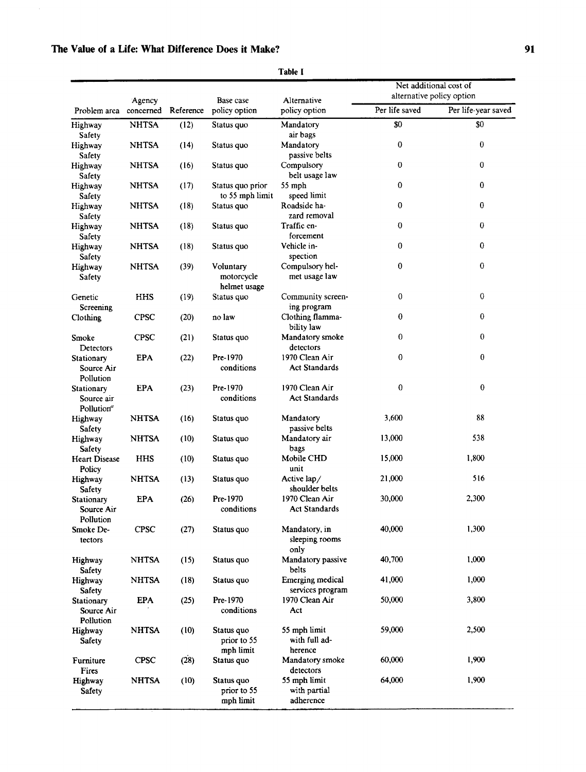|                                                    | Agency       |      | Base case<br>policy option              | Alternative<br>policy option              | Net additional cost of<br>alternative policy option |                     |
|----------------------------------------------------|--------------|------|-----------------------------------------|-------------------------------------------|-----------------------------------------------------|---------------------|
| Problem area concerned Reference                   |              |      |                                         |                                           | Per life saved                                      | Per life-year saved |
| Highway<br>Safety                                  | <b>NHTSA</b> | (12) | Status quo                              | Mandatory<br>air bags                     | \$0                                                 | \$0                 |
| Highway<br>Safety                                  | <b>NHTSA</b> | (14) | Status quo                              | Mandatory<br>passive belts                | $\bf{0}$                                            | 0                   |
| Highway<br>Safety                                  | <b>NHTSA</b> | (16) | Status quo                              | Compulsory<br>belt usage law              | $\mathbf 0$                                         | 0                   |
| Highway<br>Safety                                  | <b>NHTSA</b> | (17) | Status quo prior<br>to 55 mph limit     | 55 mph<br>speed limit                     | $\mathbf 0$                                         | $\bf{0}$            |
| Highway<br>Safety                                  | <b>NHTSA</b> | (18) | Status quo                              | Roadside ha-<br>zard removal              | 0                                                   | 0                   |
| Highway<br>Safety                                  | <b>NHTSA</b> | (18) | Status quo                              | Traffic en-<br>forcement                  | $\bf{0}$                                            | 0                   |
| Highway<br>Safety                                  | <b>NHTSA</b> | (18) | Status quo                              | Vehicle in-<br>spection                   | $\bf{0}$                                            | 0                   |
| Highway<br>Safety                                  | <b>NHTSA</b> | (39) | Voluntary<br>motorcycle<br>helmet usage | Compulsory hel-<br>met usage law          | $\bf{0}$                                            | 0                   |
| Genetic<br>Screening                               | <b>HHS</b>   | (19) | Status quo                              | Community screen-<br>ing program          | $\bf{0}$                                            | $\boldsymbol{0}$    |
| Clothing                                           | <b>CPSC</b>  | (20) | no law                                  | Clothing flamma-<br>bility law            | $\bf{0}$                                            | $\mathbf 0$         |
| Smoke<br>Detectors                                 | <b>CPSC</b>  | (21) | Status quo                              | Mandatory smoke<br>detectors              | $\mathbf{0}$                                        | $\mathbf 0$         |
| Stationary<br>Source Air<br>Pollution              | <b>EPA</b>   | (22) | Pre-1970<br>conditions                  | 1970 Clean Air<br>Act Standards           | $\mathbf 0$                                         | $\bf{0}$            |
| Stationary<br>Source air<br>Pollution <sup>a</sup> | <b>EPA</b>   | (23) | Pre-1970<br>conditions                  | 1970 Clean Air<br>Act Standards           | $\mathbf 0$                                         | $\theta$            |
| Highway<br>Safety                                  | <b>NHTSA</b> | (16) | Status quo                              | Mandatory<br>passive belts                | 3,600                                               | 88                  |
| Highway<br>Safety                                  | <b>NHTSA</b> | (10) | Status quo                              | Mandatory air<br>bags                     | 13,000                                              | 538                 |
| <b>Heart Disease</b><br>Policy                     | <b>HHS</b>   | (10) | Status quo                              | Mobile CHD<br>unit                        | 15,000                                              | 1,800               |
| Highway<br>Safety                                  | <b>NHTSA</b> | (13) | Status quo                              | Active lap/<br>shoulder belts             | 21,000                                              | 516                 |
| Stationary<br>Source Air<br>Pollution              | <b>EPA</b>   | (26) | Pre-1970<br>conditions                  | 1970 Clean Air<br>Act Standards           | 30,000                                              | 2,300               |
| Smoke De-<br>tectors                               | <b>CPSC</b>  | (27) | Status quo                              | Mandatory, in<br>sleeping rooms<br>only   | 40,000                                              | 1,300               |
| Highway<br>Safety                                  | <b>NHTSA</b> | (15) | Status quo                              | Mandatory passive<br>belts                | 40,700                                              | 1,000               |
| Highway<br>Safety                                  | <b>NHTSA</b> | (18) | Status quo                              | Emerging medical<br>services program      | 41,000                                              | 1,000               |
| Stationary<br>Source Air<br>Pollution              | <b>EPA</b>   | (25) | Pre-1970<br>conditions                  | 1970 Clean Air<br>Act                     | 50,000                                              | 3,800               |
| Highway<br><b>Safety</b>                           | <b>NHTSA</b> | (10) | Status quo<br>prior to 55<br>mph limit  | 55 mph limit<br>with full ad-<br>herence  | 59,000                                              | 2,500               |
| Furniture<br>Fires                                 | <b>CPSC</b>  | (28) | Status quo                              | Mandatory smoke<br>detectors              | 60,000                                              | 1,900               |
| Highway<br>Safety                                  | <b>NHTSA</b> | (10) | Status quo<br>prior to 55<br>mph limit  | 55 mph limit<br>with partial<br>adherence | 64,000                                              | 1,900               |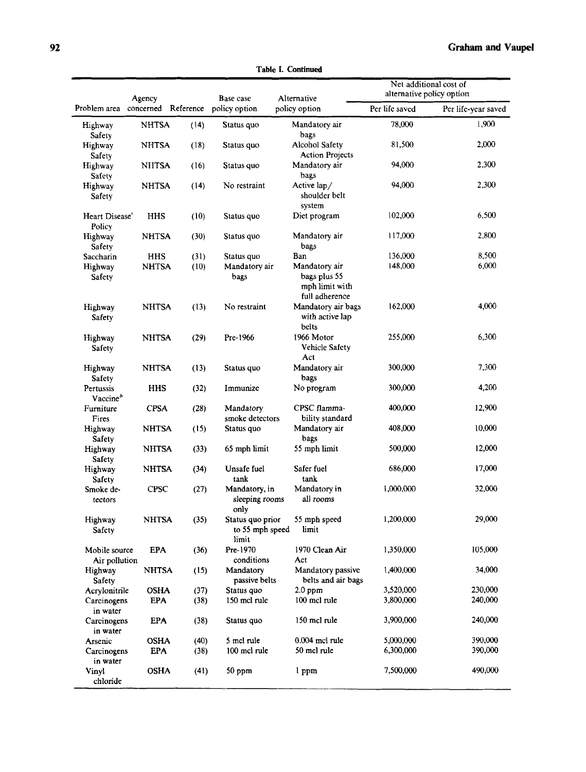|                                          | Agency<br>concerned | Reference | Base case<br>policy option                    | Alternative                                                       | Net additional cost of<br>alternative policy option |                     |
|------------------------------------------|---------------------|-----------|-----------------------------------------------|-------------------------------------------------------------------|-----------------------------------------------------|---------------------|
| Problem area                             |                     |           |                                               | policy option                                                     | Per life saved                                      | Per life-year saved |
| Highway<br>Safety                        | <b>NHTSA</b>        | (14)      | Status quo                                    | Mandatory air<br>bags                                             | 78,000                                              | 1,900               |
| Highway<br>Safety                        | <b>NHTSA</b>        | (18)      | Status quo                                    | Alcohol Safety<br><b>Action Projects</b>                          | 81,500                                              | 2,000               |
| Highway<br>Safety                        | <b>NHTSA</b>        | (16)      | Status quo                                    | Mandatory air<br>bags                                             | 94,000                                              | 2,300               |
| Highway<br>Safety                        | <b>NHTSA</b>        | (14)      | No restraint                                  | Active lap/<br>shoulder belt<br>system                            | 94,000                                              | 2,300               |
| Heart Disease'<br>Policy                 | <b>HHS</b>          | (10)      | Status quo                                    | Diet program                                                      | 102,000                                             | 6,500               |
| Highway<br>Safety                        | <b>NHTSA</b>        | (30)      | Status quo                                    | Mandatory air<br>bags                                             | 117,000                                             | 2,800               |
| Saccharin                                | HHS                 | (31)      | Status quo                                    | Ban                                                               | 136,000                                             | 8,500               |
| Highway<br>Safety                        | <b>NHTSA</b>        | (10)      | Mandatory air<br>bags                         | Mandatory air<br>bags plus 55<br>mph limit with<br>full adherence | 148,000                                             | 6,000               |
| Highway<br>Safety                        | <b>NHTSA</b>        | (13)      | No restraint                                  | Mandatory air bags<br>with active lap<br>belts                    | 162,000                                             | 4,000               |
| Highway<br>Safety                        | <b>NHTSA</b>        | (29)      | Pre-1966                                      | 1966 Motor<br>Vehicle Safety<br>Act                               | 255,000                                             | 6,300               |
| Highway<br>Safety                        | <b>NHTSA</b>        | (13)      | Status quo                                    | Mandatory air<br>bags                                             | 300,000                                             | 7,300               |
| Pertussis<br>Vaccine <sup><i>r</i></sup> | HHS                 | (32)      | Immunize                                      | No program                                                        | 300,000                                             | 4,200               |
| Furniture<br>Fires                       | <b>CPSA</b>         | (28)      | Mandatory<br>smoke detectors                  | CPSC flamma-<br>bility standard                                   | 400,000                                             | 12,900              |
| Highway<br>Safety                        | <b>NHTSA</b>        | (15)      | Status quo                                    | Mandatory air<br>bags                                             | 408,000                                             | 10,000              |
| Highway<br>Safety                        | <b>NHTSA</b>        | (33)      | 65 mph limit                                  | 55 mph limit                                                      | 500,000                                             | 12,000              |
| Highway<br><b>Safety</b>                 | <b>NHTSA</b>        | (34)      | Unsafe fuel<br>tank                           | Safer fuel<br>tank                                                | 686,000                                             | 17,000              |
| Smoke de-<br>tectors                     | <b>CPSC</b>         | (27)      | Mandatory, in<br>sleeping rooms<br>only       | Mandatory in<br>all rooms                                         | 1,000,000                                           | 32,000              |
| Highway<br>Safety                        | <b>NHTSA</b>        | (35)      | Status quo prior<br>to 55 mph speed<br>limit. | 55 mph speed<br>limit                                             | 1,200,000                                           | 29,000              |
| Mobile source<br>Air pollution           | <b>EPA</b>          | (36)      | Pre-1970<br>conditions                        | 1970 Clean Air<br>Act                                             | 1,350,000                                           | 105,000             |
| Highway<br>Safety                        | <b>NHTSA</b>        | (15)      | Mandatory<br>passive belts                    | Mandatory passive<br>belts and air bags                           | 1,400,000                                           | 34,000              |
| Acrylonitrile                            | <b>OSHA</b>         | (37)      | Status quo                                    | $2.0$ ppm                                                         | 3,520,000                                           | 230,000             |
| Carcinogens<br>in water                  | <b>EPA</b>          | (38)      | 150 mcl rule                                  | 100 mcl rule                                                      | 3,800,000                                           | 240,000             |
| Carcinogens<br>in water                  | <b>EPA</b>          | (38)      | Status quo                                    | 150 mcl rule                                                      | 3,900,000                                           | 240,000             |
| Arsenic                                  | <b>OSHA</b>         | (40)      | 5 mcl rule                                    | $0.004$ mcl rule                                                  | 5,000,000                                           | 390,000             |
| Carcinogens<br>in water                  | <b>EPA</b>          | (38)      | 100 mcl rule                                  | 50 mel rule                                                       | 6,300,000                                           | 390,000             |
| Vinyl<br>chloride                        | <b>OSHA</b>         | (41)      | $50$ ppm                                      | l ppm                                                             | 7,500,000                                           | 490,000             |

**Table I. Continued**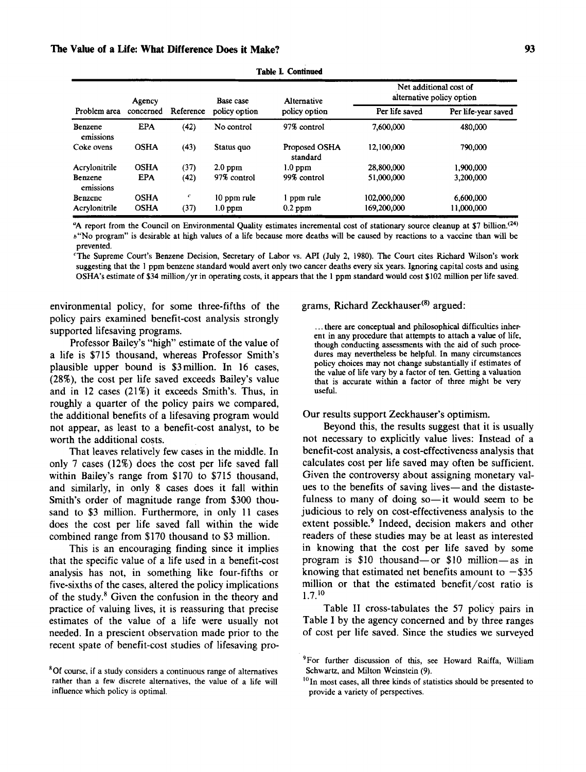| Problem area         | Agency<br>concerned | Reference | Base case<br>policy option | Alternative<br>policy option | Net additional cost of<br>alternative policy option |                     |
|----------------------|---------------------|-----------|----------------------------|------------------------------|-----------------------------------------------------|---------------------|
|                      |                     |           |                            |                              | Per life saved                                      | Per life-year saved |
| Benzene<br>emissions | EPA                 | (42)      | No control                 | 97% control                  | 7,600,000                                           | 480,000             |
| Coke ovens           | <b>OSHA</b>         | (43)      | Status quo                 | Proposed OSHA<br>standard    | 12,100,000                                          | 790,000             |
| Acrylonitrile        | <b>OSHA</b>         | (37)      | $2.0$ ppm                  | $1.0$ ppm                    | 28,800,000                                          | 1,900,000           |
| Benzene<br>emissions | <b>EPA</b>          | (42)      | 97% control                | 99% control                  | 51,000,000                                          | 3,200,000           |
| Benzene              | <b>OSHA</b>         | с         | $10$ ppm rule              | l ppm rule                   | 102,000,000                                         | 6,600,000           |
| Acrylonitrile        | <b>OSHA</b>         | (37)      | $1.0$ ppm                  | $0.2$ ppm                    | 169,200,000                                         | 11,000,000          |

**Table I. Continued** 

"A report from the Council on Environmental Quality estimates incremental cost of stationary source cleanup at \$7 billion.'24) *b"No* program" is desirable at high values of a life because more deaths will be caused by reactions to a vaccine than will be prevented.

'The Supreme Court's Benzene Decision, Secretary of Labor vs. API **(July** 2, 1980). The Court cites Richard Wilson's work suggesting that the **1** ppm benzene standard would avert only two cancer deaths every six years. Ignoring capital costs and using OSHA's estimate of \$34 miilion/yr in operating costs, it appears that the **1** ppm standard would cost \$102 million per life saved.

environmental policy, for some three-fifths of the policy pairs examined benefit-cost analysis strongly supported lifesaving programs.

Professor Bailey's **"high"** estimate of the value of a life is \$715 thousand, whereas Professor Smith's plausible upper bound is \$3million. In 16 cases, (28%), the cost per life saved exceeds Bailey's value and in 12 cases (21%) it exceeds Smith's. Thus, in roughly a quarter of the policy pairs we compared, the additional benefits of a lifesaving program would not appear, as least to a benefit-cost analyst, to be worth the additional costs.

That leaves relatively few cases in the middle. In only 7 cases (12%) does the cost per life saved fall within Bailey's range from \$170 to \$715 thousand, and similarly, in only 8 cases does it fall within Smith's order of magnitude range from \$300 thousand to \$3 million. Furthermore, in only **11** cases does the cost per life saved fall within the wide combined range from \$170 thousand to \$3 million.

This is an encouraging finding since it implies that the specific value of a life used in a benefit-cost analysis has not, in something like four-fifths or five-sixths of the cases, altered the policy implications of the study.8 Given the confusion in the theory and practice of valuing lives, it is reassuring that precise estimates of the value of a life were usually not needed. In a prescient observation made prior to the recent spate of benefit-cost studies of lifesaving pro-

## grams, Richard Zeckhauser $(8)$  argued:

. . . there are conceptual and philosophical difficulties inherent in any procedure that attempts **to** attach a value of life, though conducting assessments with the aid of such procedures may nevertheless be helpful. **In** many circumstances policy choices may not change substantially if estimates of the value of life vary by a factor of ten. Getting a valuation that is accurate within a factor of three might be very useful.

#### Our results support Zeckhauser's optimism.

Beyond this, the results suggest that it is usually not necessary to explicitly value lives: Instead of a benefit-cost analysis, a cost-effectiveness analysis that calculates cost per life saved may often be sufficient. Given the controversy about assigning monetary values to the benefits of saving lives- and the distastefulness to many of doing  $so$ —it would seem to be judicious to rely on cost-effectiveness analysis to the extent possible.<sup>9</sup> Indeed, decision makers and other readers of these studies may be at least as interested in knowing that the cost per life saved by some program is  $$10$  thousand- or  $$10$  million- as in knowing that estimated net benefits amount to  $-$ \$35 million or that the estimated benefit/cost ratio is  $1.7.^{10}$ 

Table I1 cross-tabulates the 57 policy pairs in Table I by the agency concerned and by three ranges of cost per life saved. Since the studies we surveyed

<sup>\*</sup>Of course, if a study considers a continuous range of alternatives rather than a few discrete alternatives, the value of a life will influence which policy is optimal.

**<sup>&#</sup>x27;For** further discussion of **this,** see Howard Raiffa, William Schwartz, and Milton Weinstein (9).

 $^{10}$ In most cases, all three kinds of statistics should be presented to provide a variety of perspectives.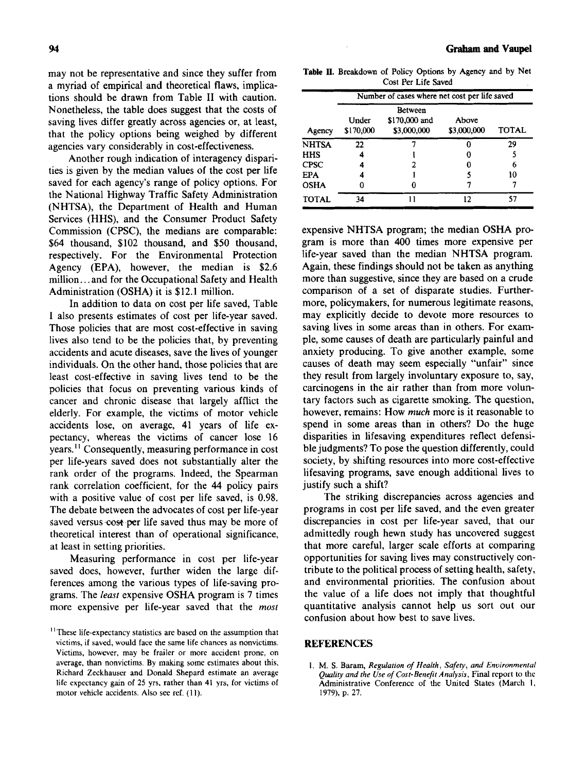may not be representative and since they suffer from a myriad of empirical and theoretical flaws, implications should be drawn from Table I1 with caution. Nonetheless, the table does suggest that the costs of saving lives differ greatly across agencies or, at least, that the policy options being weighed by different agencies vary considerably in cost-effectiveness.

Another rough indication of interagency disparities is given by the median values of the cost per life saved for each agency's range of policy options. For the National Highway Traffic Safety Administration (NHTSA), the Department of Health and Human Services (HHS), and the Consumer Product Safety Commission (CPSC), the medians are comparable: **\$64** thousand, \$102 thousand, and \$50 thousand, respectively. For the Environmental Protection Agency (EPA), however, the median is \$2.6 million.. .and for the Occupational Safety and Health Administration (OSHA) it is \$12.1 million.

In addition to data on cost per life saved, Table I also presents estimates of cost per life-year saved. Those policies that are most cost-effective in saving lives also tend to be the policies that, by preventing accidents and acute diseases, save the lives of younger individuals. On the other hand, those policies that are least cost-effective in saving lives tend to be the policies that focus on preventing various kinds of cancer and chronic disease that largely afflict the elderly. For example, the victims of motor vehicle accidents lose, on average, 41 years of life expectancy, whereas the victims of cancer lose 16 years.<sup>11</sup> Consequently, measuring performance in cost per life-years saved does not substantially alter the rank order of the programs. Indeed, the Spearman rank correlation coefficient, for the **44** policy pairs with a positive value of cost per life saved, is 0.98. The debate between the advocates of cost per life-year saved versus cost per life saved thus may be more of theoretical interest than of operational significance, at least in setting priorities.

Measuring performance in cost per life-year saved does, however, further widen the large differences among the various types of life-saving programs. The least expensive OSHA program is 7 times more expensive per life-year saved that the *most* 

Table **11.** Breakdown of Policy Options by Agency and by Net Cost Per Life Saved

|              | Number of cases where net cost per life saved |                                         |                      |              |  |  |  |
|--------------|-----------------------------------------------|-----------------------------------------|----------------------|--------------|--|--|--|
| Agency       | Under<br>\$170,000                            | Between<br>\$170,000 and<br>\$3,000,000 | Above<br>\$3,000,000 | <b>TOTAL</b> |  |  |  |
| <b>NHTSA</b> | 22                                            |                                         |                      | 29           |  |  |  |
| HHS          |                                               |                                         |                      | 5            |  |  |  |
| <b>CPSC</b>  |                                               | 2                                       |                      | 6            |  |  |  |
| <b>EPA</b>   |                                               |                                         |                      | 10           |  |  |  |
| <b>OSHA</b>  |                                               | Ω                                       |                      |              |  |  |  |
| <b>TOTAL</b> | 34                                            |                                         | 12                   | 57           |  |  |  |

expensive NHTSA program; the median OSHA program is more than 400 times more expensive per life-year saved than the median NHTSA program. Again, these findings should not be taken as anything more than suggestive, since they are based on a crude comparison of a set of disparate studies. Furthermore, policymakers, for numerous legitimate reasons, may explicitly decide to devote more resources to saving lives in some areas than in others. For example, some causes of death are particularly painful and anxiety producing. To give another example, some causes of death may seem especially "unfair" since they result from largely involuntary exposure to, say, carcinogens in the air rather than from more voluntary factors such as cigarette smoking. The question, however, remains: How *much* more is it reasonable to spend in some areas than in others? Do the huge disparities in lifesaving expenditures reflect defensible judgments? To pose the question differently, could society, by shifting resources into more cost-effective lifesaving programs, save enough additional lives to justify such a shift?

The striking discrepancies across agencies and programs in cost per life saved, and the even greater discrepancies in cost per life-year saved, that our admittedly rough hewn study has uncovered suggest that more careful, larger scale efforts at comparing opportunities for saving lives may constructively contribute to the political process of setting health, safety, and environmental priorities. The confusion about the value of a life does not imply that thoughtful quantitative analysis cannot help us sort out our confusion about how best to save lives.

#### **REFERENCES**

I. M. *S.* Baram, *Regulation of Health, Safety, and Environmental Quulity and the Use of Cost-Benefit Anulysis,* Final report to the Administrative Conference of the United States (March **1,**  1979), p. 27.

**I'** These life-expectancy statistics are based on the assumption that victims, if saved, would face the same life chances as nonvictims. Victims, however, may be frailer or more accident prone, on average, than nonvictims. By making some estimates about this, Richard Zeckhauser and Donald Shepard estimate **an** average life expectancy **gain** of *25* yrs. rather than **41** yrs, for victims of motor vehicle accidents. Also see ref. **(1 I).**